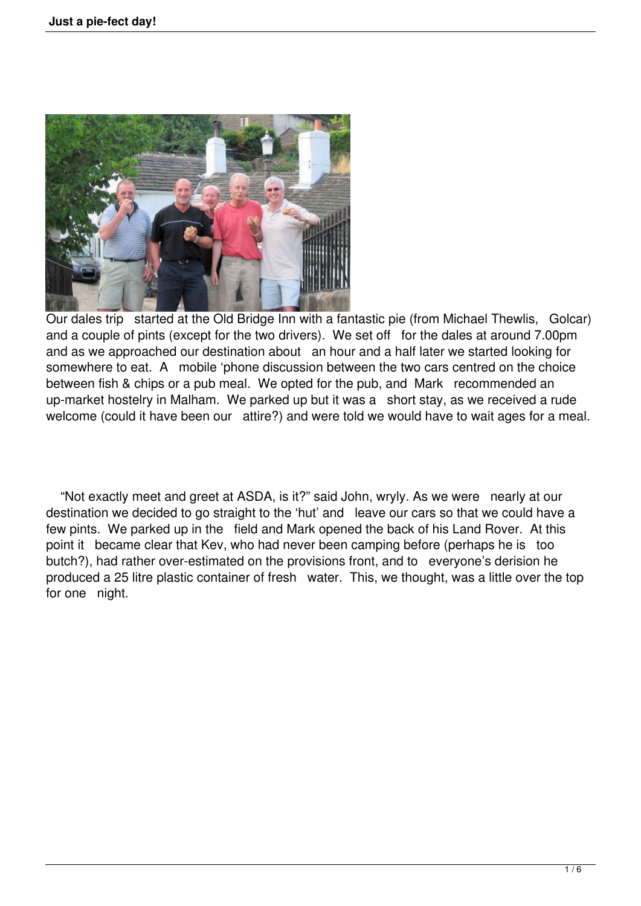

Our dales trip started at the Old Bridge Inn with a fantastic pie (from Michael Thewlis, Golcar) and a couple of pints (except for the two drivers). We set off for the dales at around 7.00pm and as we approached our destination about an hour and a half later we started looking for somewhere to eat. A mobile 'phone discussion between the two cars centred on the choice between fish & chips or a pub meal. We opted for the pub, and Mark recommended an up-market hostelry in Malham. We parked up but it was a short stay, as we received a rude welcome (could it have been our attire?) and were told we would have to wait ages for a meal.

 "Not exactly meet and greet at ASDA, is it?" said John, wryly. As we were nearly at our destination we decided to go straight to the 'hut' and leave our cars so that we could have a few pints. We parked up in the field and Mark opened the back of his Land Rover. At this point it became clear that Kev, who had never been camping before (perhaps he is too butch?), had rather over-estimated on the provisions front, and to everyone's derision he produced a 25 litre plastic container of fresh water. This, we thought, was a little over the top for one night.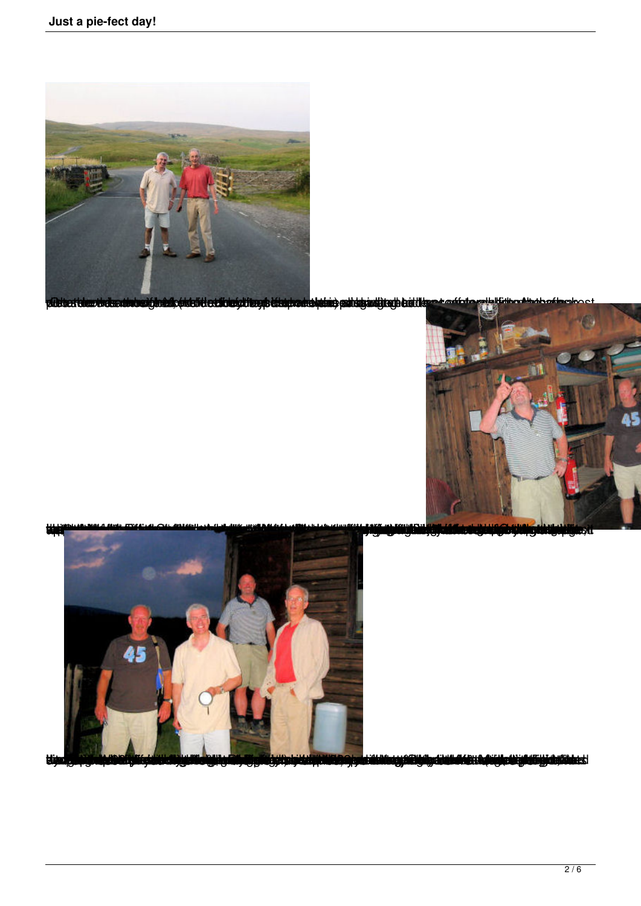

taes talaa tordas nimboshi jindalis ontsiliti e talinlarigi ilaayis tatapnowa dyahinis eali dahawiji sejb baldik



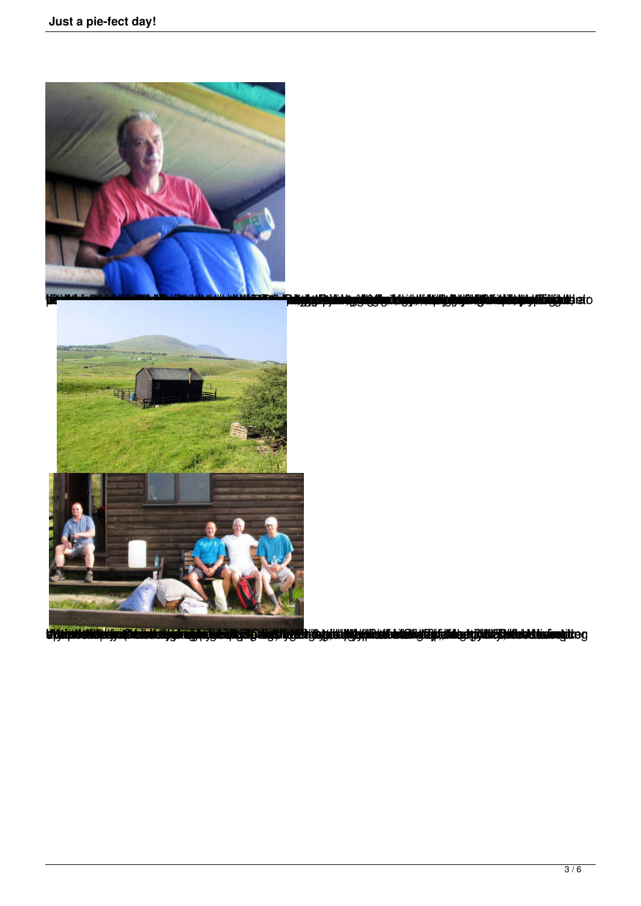



**de de la politica de la citatulación de la citatulación de la citatulación de la citatulación de la citatulació**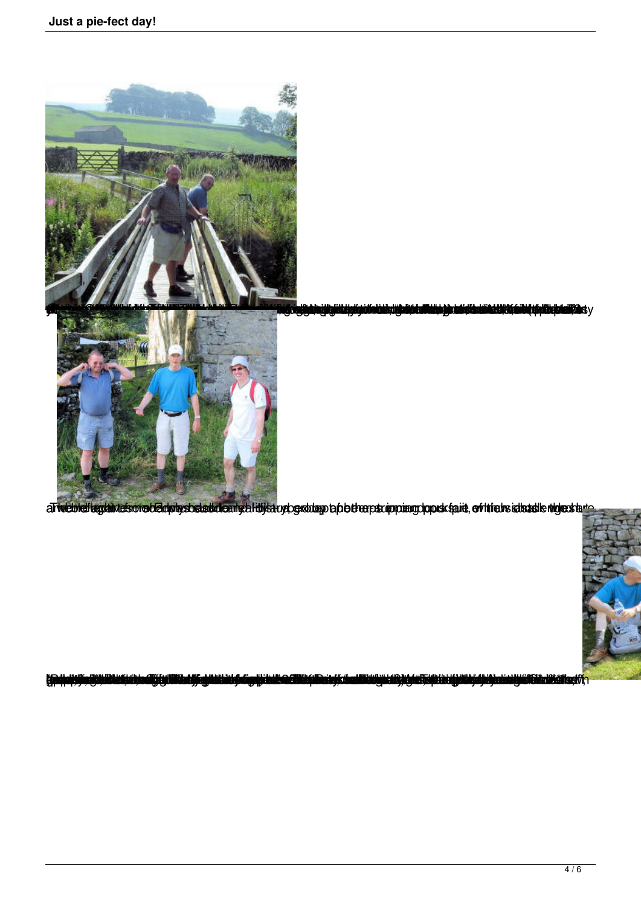

al webhelf lagdaiviers on a dela prays belastic empetitive a repeating to be the pst appring opports faits, evitie insistable nigheds and

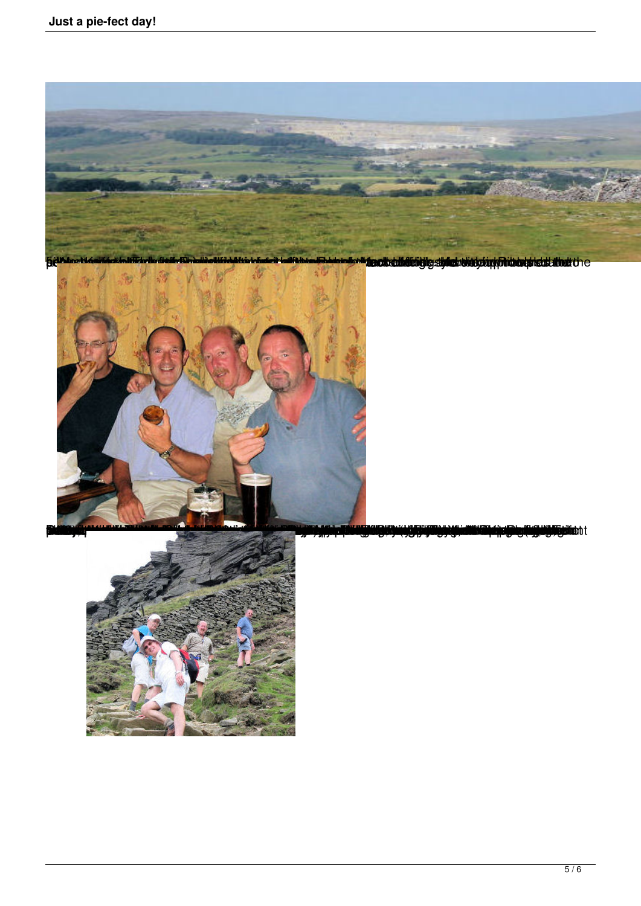